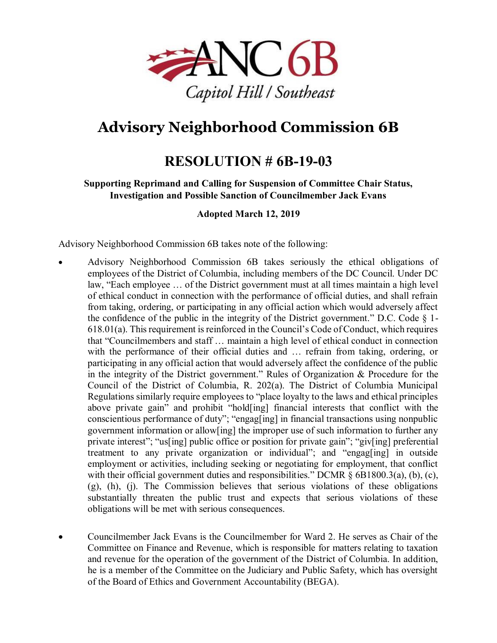

# **Advisory Neighborhood Commission 6B**

# **RESOLUTION # 6B-19-03**

#### **Supporting Reprimand and Calling for Suspension of Committee Chair Status, Investigation and Possible Sanction of Councilmember Jack Evans**

#### **Adopted March 12, 2019**

Advisory Neighborhood Commission 6B takes note of the following:

- Advisory Neighborhood Commission 6B takes seriously the ethical obligations of employees of the District of Columbia, including members of the DC Council. Under DC law, "Each employee … of the District government must at all times maintain a high level of ethical conduct in connection with the performance of official duties, and shall refrain from taking, ordering, or participating in any official action which would adversely affect the confidence of the public in the integrity of the District government." D.C. Code  $\S$  1-618.01(a). This requirement is reinforced in the Council's Code of Conduct, which requires that "Councilmembers and staff … maintain a high level of ethical conduct in connection with the performance of their official duties and … refrain from taking, ordering, or participating in any official action that would adversely affect the confidence of the public in the integrity of the District government." Rules of Organization & Procedure for the Council of the District of Columbia, R. 202(a). The District of Columbia Municipal Regulations similarly require employees to "place loyalty to the laws and ethical principles above private gain" and prohibit "hold[ing] financial interests that conflict with the conscientious performance of duty"; "engag[ing] in financial transactions using nonpublic government information or allow[ing] the improper use of such information to further any private interest"; "us[ing] public office or position for private gain"; "giv[ing] preferential treatment to any private organization or individual"; and "engag[ing] in outside employment or activities, including seeking or negotiating for employment, that conflict with their official government duties and responsibilities." DCMR § 6B1800.3(a), (b), (c), (g), (h), (j). The Commission believes that serious violations of these obligations substantially threaten the public trust and expects that serious violations of these obligations will be met with serious consequences.
- Councilmember Jack Evans is the Councilmember for Ward 2. He serves as Chair of the Committee on Finance and Revenue, which is responsible for matters relating to taxation and revenue for the operation of the government of the District of Columbia. In addition, he is a member of the Committee on the Judiciary and Public Safety, which has oversight of the Board of Ethics and Government Accountability (BEGA).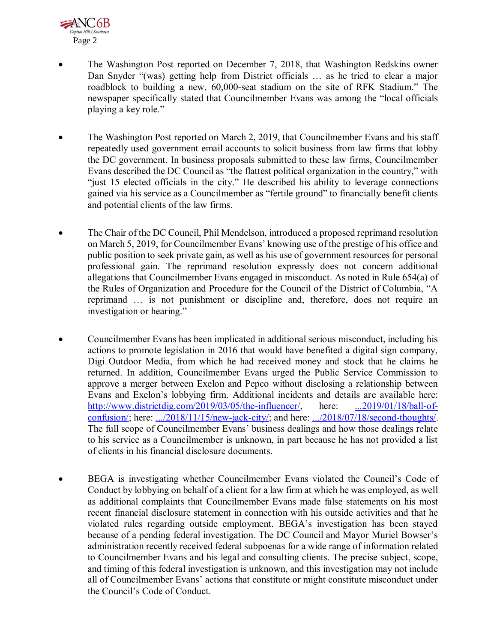

- The Washington Post reported on December 7, 2018, that Washington Redskins owner Dan Snyder "(was) getting help from District officials … as he tried to clear a major roadblock to building a new, 60,000-seat stadium on the site of RFK Stadium." The newspaper specifically stated that Councilmember Evans was among the "local officials playing a key role."
- The Washington Post reported on March 2, 2019, that Councilmember Evans and his staff repeatedly used government email accounts to solicit business from law firms that lobby the DC government. In business proposals submitted to these law firms, Councilmember Evans described the DC Council as "the flattest political organization in the country," with "just 15 elected officials in the city." He described his ability to leverage connections gained via his service as a Councilmember as "fertile ground" to financially benefit clients and potential clients of the law firms.
- The Chair of the DC Council, Phil Mendelson, introduced a proposed reprimand resolution on March 5, 2019, for Councilmember Evans' knowing use of the prestige of his office and public position to seek private gain, as well as his use of government resources for personal professional gain. The reprimand resolution expressly does not concern additional allegations that Councilmember Evans engaged in misconduct. As noted in Rule 654(a) of the Rules of Organization and Procedure for the Council of the District of Columbia, "A reprimand … is not punishment or discipline and, therefore, does not require an investigation or hearing."
- Councilmember Evans has been implicated in additional serious misconduct, including his actions to promote legislation in 2016 that would have benefited a digital sign company, Digi Outdoor Media, from which he had received money and stock that he claims he returned. In addition, Councilmember Evans urged the Public Service Commission to approve a merger between Exelon and Pepco without disclosing a relationship between Evans and Exelon's lobbying firm. Additional incidents and details are available here: [http://www.districtdig.com/2019/03/05/the-influencer/,](http://www.districtdig.com/2019/03/05/the-influencer/) here: [...2019/01/18/ball-of](http://www.districtdig.com/2019/01/18/ball-of-confusion/)[confusion/;](http://www.districtdig.com/2019/01/18/ball-of-confusion/) here: [.../2018/11/15/new-jack-city/;](http://www.districtdig.com/2018/11/15/new-jack-city/) and here: [.../2018/07/18/second-thoughts/.](http://www.districtdig.com/2018/07/18/second-thoughts/) The full scope of Councilmember Evans' business dealings and how those dealings relate to his service as a Councilmember is unknown, in part because he has not provided a list of clients in his financial disclosure documents.
- BEGA is investigating whether Councilmember Evans violated the Council's Code of Conduct by lobbying on behalf of a client for a law firm at which he was employed, as well as additional complaints that Councilmember Evans made false statements on his most recent financial disclosure statement in connection with his outside activities and that he violated rules regarding outside employment. BEGA's investigation has been stayed because of a pending federal investigation. The DC Council and Mayor Muriel Bowser's administration recently received federal subpoenas for a wide range of information related to Councilmember Evans and his legal and consulting clients. The precise subject, scope, and timing of this federal investigation is unknown, and this investigation may not include all of Councilmember Evans' actions that constitute or might constitute misconduct under the Council's Code of Conduct.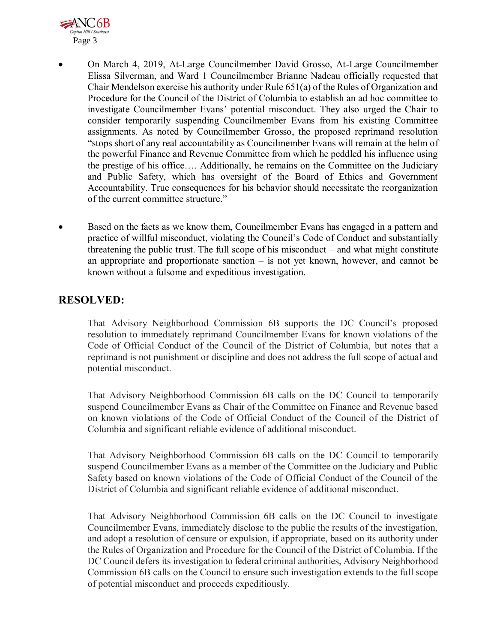

- On March 4, 2019, At-Large Councilmember David Grosso, At-Large Councilmember Elissa Silverman, and Ward 1 Councilmember Brianne Nadeau officially requested that Chair Mendelson exercise his authority under Rule 651(a) of the Rules of Organization and Procedure for the Council of the District of Columbia to establish an ad hoc committee to investigate Councilmember Evans' potential misconduct. They also urged the Chair to consider temporarily suspending Councilmember Evans from his existing Committee assignments. As noted by Councilmember Grosso, the proposed reprimand resolution "stops short of any real accountability as Councilmember Evans will remain at the helm of the powerful Finance and Revenue Committee from which he peddled his influence using the prestige of his office…. Additionally, he remains on the Committee on the Judiciary and Public Safety, which has oversight of the Board of Ethics and Government Accountability. True consequences for his behavior should necessitate the reorganization of the current committee structure."
- Based on the facts as we know them, Councilmember Evans has engaged in a pattern and practice of willful misconduct, violating the Council's Code of Conduct and substantially threatening the public trust. The full scope of his misconduct – and what might constitute an appropriate and proportionate sanction – is not yet known, however, and cannot be known without a fulsome and expeditious investigation.

### **RESOLVED:**

That Advisory Neighborhood Commission 6B supports the DC Council's proposed resolution to immediately reprimand Councilmember Evans for known violations of the Code of Official Conduct of the Council of the District of Columbia, but notes that a reprimand is not punishment or discipline and does not address the full scope of actual and potential misconduct.

That Advisory Neighborhood Commission 6B calls on the DC Council to temporarily suspend Councilmember Evans as Chair of the Committee on Finance and Revenue based on known violations of the Code of Official Conduct of the Council of the District of Columbia and significant reliable evidence of additional misconduct.

That Advisory Neighborhood Commission 6B calls on the DC Council to temporarily suspend Councilmember Evans as a member of the Committee on the Judiciary and Public Safety based on known violations of the Code of Official Conduct of the Council of the District of Columbia and significant reliable evidence of additional misconduct.

That Advisory Neighborhood Commission 6B calls on the DC Council to investigate Councilmember Evans, immediately disclose to the public the results of the investigation, and adopt a resolution of censure or expulsion, if appropriate, based on its authority under the Rules of Organization and Procedure for the Council of the District of Columbia. If the DC Council defers its investigation to federal criminal authorities, Advisory Neighborhood Commission 6B calls on the Council to ensure such investigation extends to the full scope of potential misconduct and proceeds expeditiously.